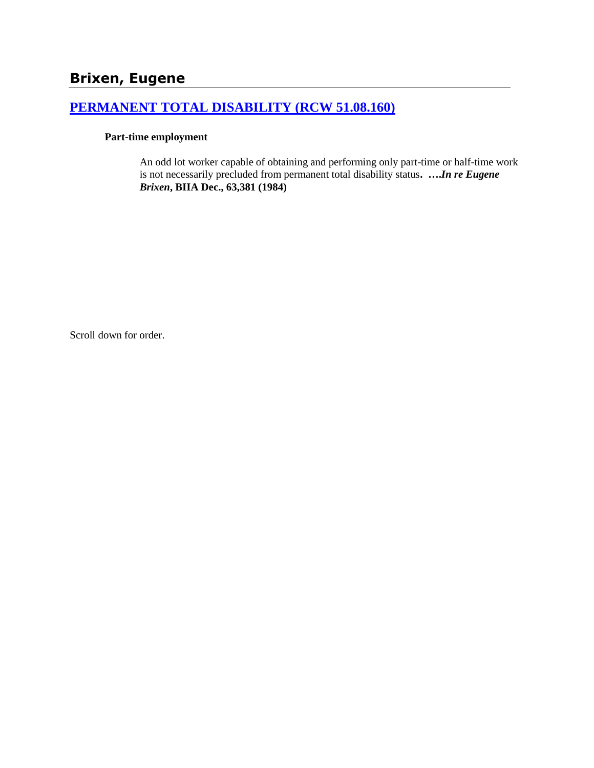# **Brixen, Eugene**

# **[PERMANENT TOTAL DISABILITY \(RCW 51.08.160\)](http://www.biia.wa.gov/SDSubjectIndex.html#PERMANENT_TOTAL_DISABILITY)**

#### **Part-time employment**

An odd lot worker capable of obtaining and performing only part-time or half-time work is not necessarily precluded from permanent total disability status**. ….***In re Eugene Brixen***, BIIA Dec., 63,381 (1984)** 

Scroll down for order.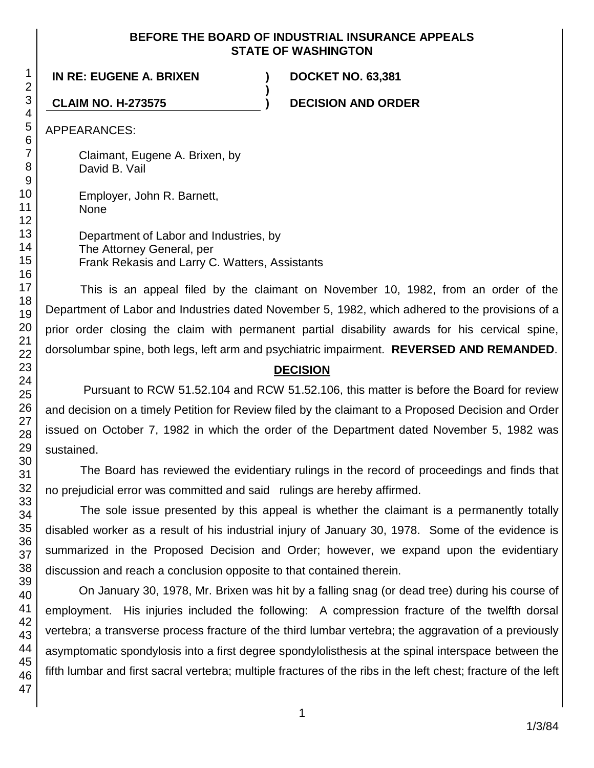#### **BEFORE THE BOARD OF INDUSTRIAL INSURANCE APPEALS STATE OF WASHINGTON**

**)**

# **IN RE: EUGENE A. BRIXEN ) DOCKET NO. 63,381**

**CLAIM NO. H-273575 ) DECISION AND ORDER**

APPEARANCES:

Claimant, Eugene A. Brixen, by David B. Vail

Employer, John R. Barnett, None

Department of Labor and Industries, by The Attorney General, per Frank Rekasis and Larry C. Watters, Assistants

This is an appeal filed by the claimant on November 10, 1982, from an order of the Department of Labor and Industries dated November 5, 1982, which adhered to the provisions of a prior order closing the claim with permanent partial disability awards for his cervical spine, dorsolumbar spine, both legs, left arm and psychiatric impairment. **REVERSED AND REMANDED**.

## **DECISION**

Pursuant to RCW 51.52.104 and RCW 51.52.106, this matter is before the Board for review and decision on a timely Petition for Review filed by the claimant to a Proposed Decision and Order issued on October 7, 1982 in which the order of the Department dated November 5, 1982 was sustained.

The Board has reviewed the evidentiary rulings in the record of proceedings and finds that no prejudicial error was committed and said rulings are hereby affirmed.

The sole issue presented by this appeal is whether the claimant is a permanently totally disabled worker as a result of his industrial injury of January 30, 1978. Some of the evidence is summarized in the Proposed Decision and Order; however, we expand upon the evidentiary discussion and reach a conclusion opposite to that contained therein.

On January 30, 1978, Mr. Brixen was hit by a falling snag (or dead tree) during his course of employment. His injuries included the following: A compression fracture of the twelfth dorsal vertebra; a transverse process fracture of the third lumbar vertebra; the aggravation of a previously asymptomatic spondylosis into a first degree spondylolisthesis at the spinal interspace between the fifth lumbar and first sacral vertebra; multiple fractures of the ribs in the left chest; fracture of the left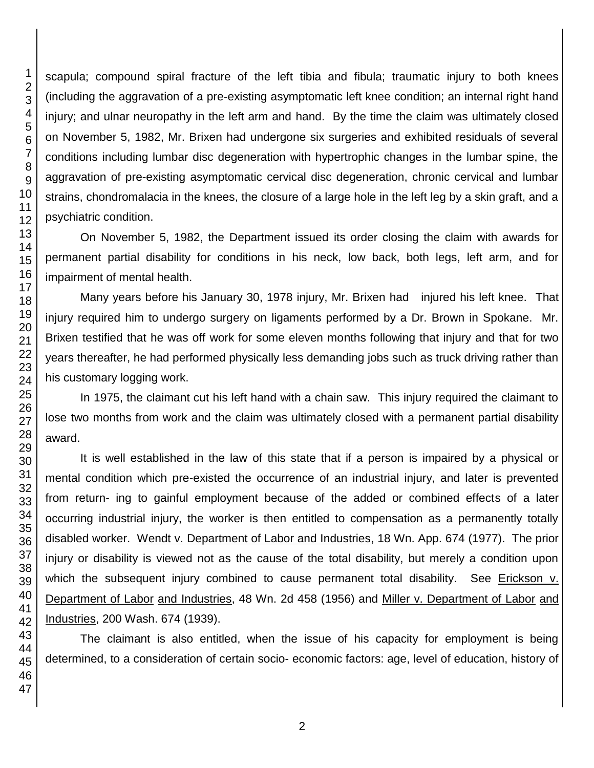scapula; compound spiral fracture of the left tibia and fibula; traumatic injury to both knees (including the aggravation of a pre-existing asymptomatic left knee condition; an internal right hand injury; and ulnar neuropathy in the left arm and hand. By the time the claim was ultimately closed on November 5, 1982, Mr. Brixen had undergone six surgeries and exhibited residuals of several conditions including lumbar disc degeneration with hypertrophic changes in the lumbar spine, the aggravation of pre-existing asymptomatic cervical disc degeneration, chronic cervical and lumbar strains, chondromalacia in the knees, the closure of a large hole in the left leg by a skin graft, and a psychiatric condition.

On November 5, 1982, the Department issued its order closing the claim with awards for permanent partial disability for conditions in his neck, low back, both legs, left arm, and for impairment of mental health.

Many years before his January 30, 1978 injury, Mr. Brixen had injured his left knee. That injury required him to undergo surgery on ligaments performed by a Dr. Brown in Spokane. Mr. Brixen testified that he was off work for some eleven months following that injury and that for two years thereafter, he had performed physically less demanding jobs such as truck driving rather than his customary logging work.

In 1975, the claimant cut his left hand with a chain saw. This injury required the claimant to lose two months from work and the claim was ultimately closed with a permanent partial disability award.

It is well established in the law of this state that if a person is impaired by a physical or mental condition which pre-existed the occurrence of an industrial injury, and later is prevented from return- ing to gainful employment because of the added or combined effects of a later occurring industrial injury, the worker is then entitled to compensation as a permanently totally disabled worker. Wendt v. Department of Labor and Industries, 18 Wn. App. 674 (1977). The prior injury or disability is viewed not as the cause of the total disability, but merely a condition upon which the subsequent injury combined to cause permanent total disability. See Erickson v. Department of Labor and Industries, 48 Wn. 2d 458 (1956) and Miller v. Department of Labor and Industries, 200 Wash. 674 (1939).

The claimant is also entitled, when the issue of his capacity for employment is being determined, to a consideration of certain socio- economic factors: age, level of education, history of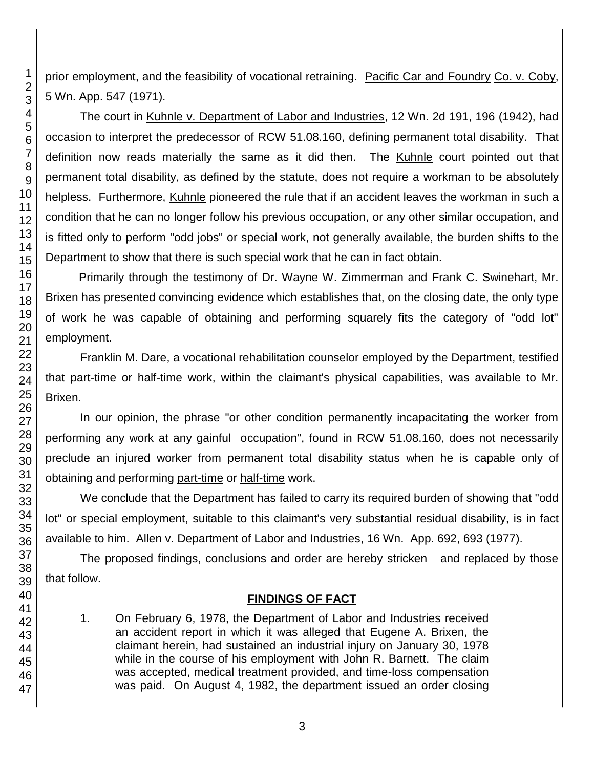prior employment, and the feasibility of vocational retraining. Pacific Car and Foundry Co. v. Coby, 5 Wn. App. 547 (1971).

The court in Kuhnle v. Department of Labor and Industries, 12 Wn. 2d 191, 196 (1942), had occasion to interpret the predecessor of RCW 51.08.160, defining permanent total disability. That definition now reads materially the same as it did then. The Kuhnle court pointed out that permanent total disability, as defined by the statute, does not require a workman to be absolutely helpless. Furthermore, Kuhnle pioneered the rule that if an accident leaves the workman in such a condition that he can no longer follow his previous occupation, or any other similar occupation, and is fitted only to perform "odd jobs" or special work, not generally available, the burden shifts to the Department to show that there is such special work that he can in fact obtain.

Primarily through the testimony of Dr. Wayne W. Zimmerman and Frank C. Swinehart, Mr. Brixen has presented convincing evidence which establishes that, on the closing date, the only type of work he was capable of obtaining and performing squarely fits the category of "odd lot" employment.

Franklin M. Dare, a vocational rehabilitation counselor employed by the Department, testified that part-time or half-time work, within the claimant's physical capabilities, was available to Mr. Brixen.

In our opinion, the phrase "or other condition permanently incapacitating the worker from performing any work at any gainful occupation", found in RCW 51.08.160, does not necessarily preclude an injured worker from permanent total disability status when he is capable only of obtaining and performing part-time or half-time work.

We conclude that the Department has failed to carry its required burden of showing that "odd lot" or special employment, suitable to this claimant's very substantial residual disability, is in fact available to him. Allen v. Department of Labor and Industries, 16 Wn. App. 692, 693 (1977).

The proposed findings, conclusions and order are hereby stricken and replaced by those that follow.

# **FINDINGS OF FACT**

1. On February 6, 1978, the Department of Labor and Industries received an accident report in which it was alleged that Eugene A. Brixen, the claimant herein, had sustained an industrial injury on January 30, 1978 while in the course of his employment with John R. Barnett. The claim was accepted, medical treatment provided, and time-loss compensation was paid. On August 4, 1982, the department issued an order closing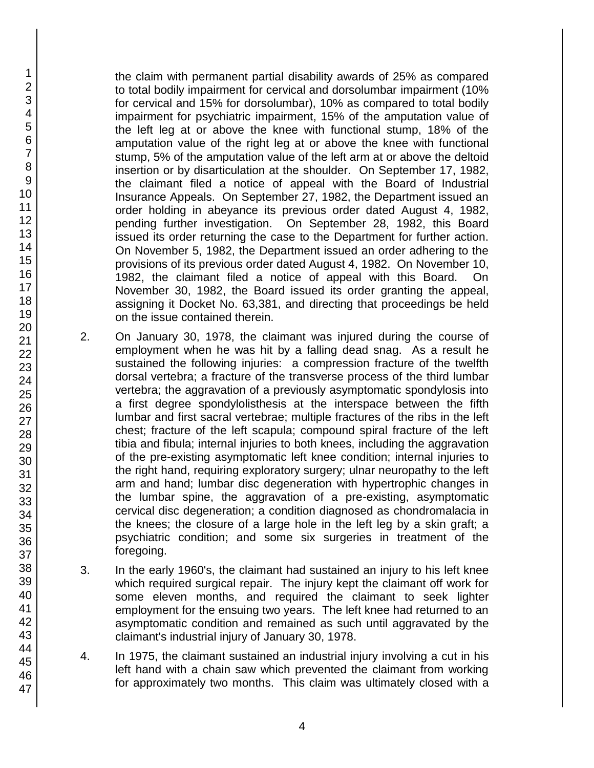the claim with permanent partial disability awards of 25% as compared to total bodily impairment for cervical and dorsolumbar impairment (10% for cervical and 15% for dorsolumbar), 10% as compared to total bodily impairment for psychiatric impairment, 15% of the amputation value of the left leg at or above the knee with functional stump, 18% of the amputation value of the right leg at or above the knee with functional stump, 5% of the amputation value of the left arm at or above the deltoid insertion or by disarticulation at the shoulder. On September 17, 1982, the claimant filed a notice of appeal with the Board of Industrial Insurance Appeals. On September 27, 1982, the Department issued an order holding in abeyance its previous order dated August 4, 1982, pending further investigation. On September 28, 1982, this Board issued its order returning the case to the Department for further action. On November 5, 1982, the Department issued an order adhering to the provisions of its previous order dated August 4, 1982. On November 10, 1982, the claimant filed a notice of appeal with this Board. On November 30, 1982, the Board issued its order granting the appeal, assigning it Docket No. 63,381, and directing that proceedings be held on the issue contained therein.

- 2. On January 30, 1978, the claimant was injured during the course of employment when he was hit by a falling dead snag. As a result he sustained the following injuries: a compression fracture of the twelfth dorsal vertebra; a fracture of the transverse process of the third lumbar vertebra; the aggravation of a previously asymptomatic spondylosis into a first degree spondylolisthesis at the interspace between the fifth lumbar and first sacral vertebrae; multiple fractures of the ribs in the left chest; fracture of the left scapula; compound spiral fracture of the left tibia and fibula; internal injuries to both knees, including the aggravation of the pre-existing asymptomatic left knee condition; internal injuries to the right hand, requiring exploratory surgery; ulnar neuropathy to the left arm and hand; lumbar disc degeneration with hypertrophic changes in the lumbar spine, the aggravation of a pre-existing, asymptomatic cervical disc degeneration; a condition diagnosed as chondromalacia in the knees; the closure of a large hole in the left leg by a skin graft; a psychiatric condition; and some six surgeries in treatment of the foregoing.
- 3. In the early 1960's, the claimant had sustained an injury to his left knee which required surgical repair. The injury kept the claimant off work for some eleven months, and required the claimant to seek lighter employment for the ensuing two years. The left knee had returned to an asymptomatic condition and remained as such until aggravated by the claimant's industrial injury of January 30, 1978.
- 4. In 1975, the claimant sustained an industrial injury involving a cut in his left hand with a chain saw which prevented the claimant from working for approximately two months. This claim was ultimately closed with a

1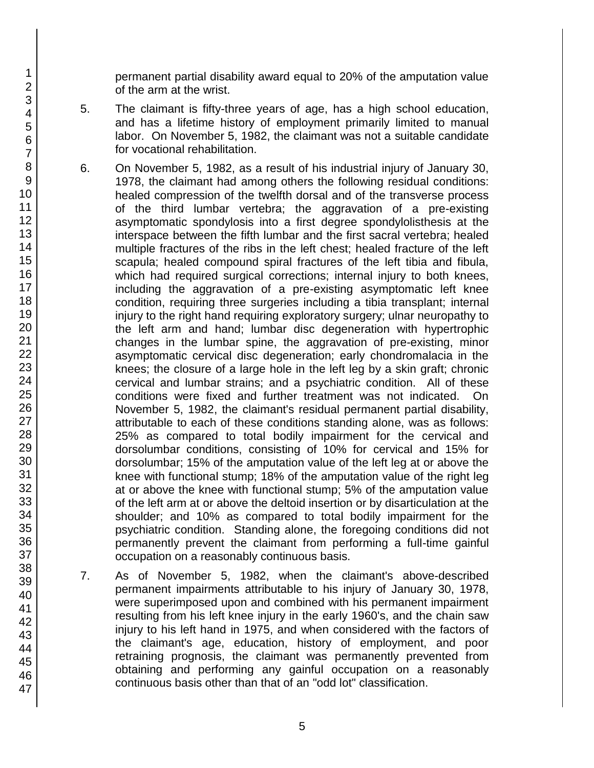permanent partial disability award equal to 20% of the amputation value of the arm at the wrist.

- 5. The claimant is fifty-three years of age, has a high school education, and has a lifetime history of employment primarily limited to manual labor. On November 5, 1982, the claimant was not a suitable candidate for vocational rehabilitation.
- 6. On November 5, 1982, as a result of his industrial injury of January 30, 1978, the claimant had among others the following residual conditions: healed compression of the twelfth dorsal and of the transverse process of the third lumbar vertebra; the aggravation of a pre-existing asymptomatic spondylosis into a first degree spondylolisthesis at the interspace between the fifth lumbar and the first sacral vertebra; healed multiple fractures of the ribs in the left chest; healed fracture of the left scapula; healed compound spiral fractures of the left tibia and fibula, which had required surgical corrections; internal injury to both knees, including the aggravation of a pre-existing asymptomatic left knee condition, requiring three surgeries including a tibia transplant; internal injury to the right hand requiring exploratory surgery; ulnar neuropathy to the left arm and hand; lumbar disc degeneration with hypertrophic changes in the lumbar spine, the aggravation of pre-existing, minor asymptomatic cervical disc degeneration; early chondromalacia in the knees; the closure of a large hole in the left leg by a skin graft; chronic cervical and lumbar strains; and a psychiatric condition. All of these conditions were fixed and further treatment was not indicated. On November 5, 1982, the claimant's residual permanent partial disability, attributable to each of these conditions standing alone, was as follows: 25% as compared to total bodily impairment for the cervical and dorsolumbar conditions, consisting of 10% for cervical and 15% for dorsolumbar; 15% of the amputation value of the left leg at or above the knee with functional stump; 18% of the amputation value of the right leg at or above the knee with functional stump; 5% of the amputation value of the left arm at or above the deltoid insertion or by disarticulation at the shoulder; and 10% as compared to total bodily impairment for the psychiatric condition. Standing alone, the foregoing conditions did not permanently prevent the claimant from performing a full-time gainful occupation on a reasonably continuous basis.
- 7. As of November 5, 1982, when the claimant's above-described permanent impairments attributable to his injury of January 30, 1978, were superimposed upon and combined with his permanent impairment resulting from his left knee injury in the early 1960's, and the chain saw injury to his left hand in 1975, and when considered with the factors of the claimant's age, education, history of employment, and poor retraining prognosis, the claimant was permanently prevented from obtaining and performing any gainful occupation on a reasonably continuous basis other than that of an "odd lot" classification.

1